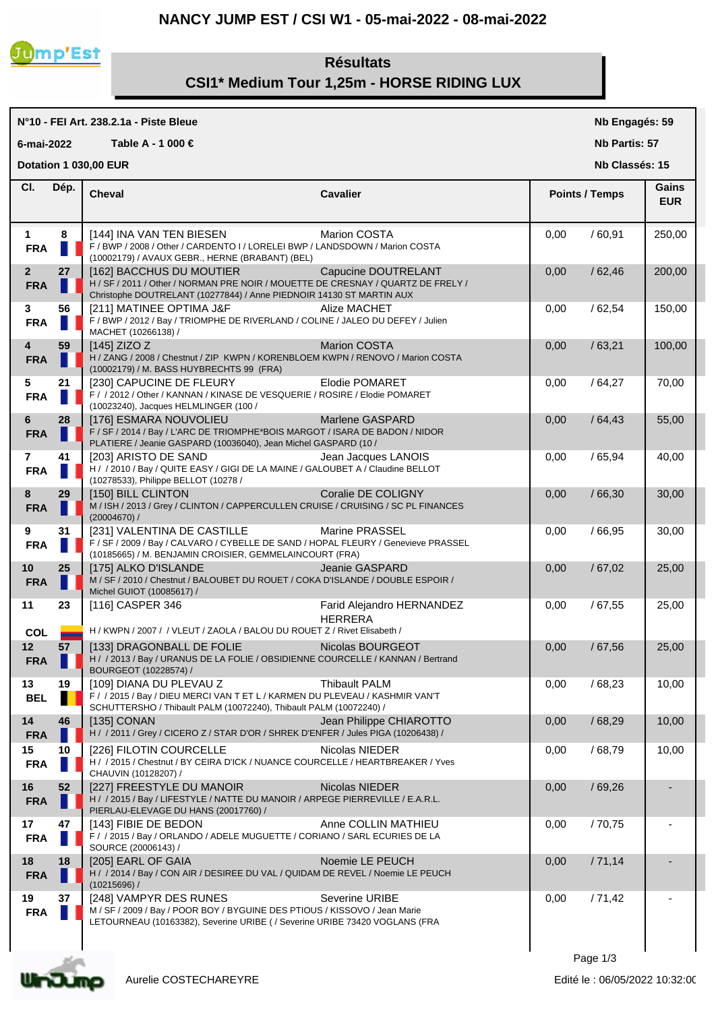## **NANCY JUMP EST / CSI W1 - 05-mai-2022 - 08-mai-2022**



## **Résultats CSI1\* Medium Tour 1,25m - HORSE RIDING LUX**

|                              |                     | N°10 - FEI Art. 238.2.1a - Piste Bleue                                                                                                                                               |                                             |      | Nb Engagés: 59        |                     |  |
|------------------------------|---------------------|--------------------------------------------------------------------------------------------------------------------------------------------------------------------------------------|---------------------------------------------|------|-----------------------|---------------------|--|
| 6-mai-2022                   |                     | Table A - 1 000 €                                                                                                                                                                    |                                             |      | Nb Partis: 57         |                     |  |
|                              |                     | Dotation 1 030,00 EUR                                                                                                                                                                |                                             |      | Nb Classés: 15        |                     |  |
| CI.                          | Dép.                | <b>Cheval</b>                                                                                                                                                                        | <b>Cavalier</b>                             |      | <b>Points / Temps</b> | Gains<br><b>EUR</b> |  |
| $\mathbf{1}$<br><b>FRA</b>   | 8                   | [144] INA VAN TEN BIESEN<br>F / BWP / 2008 / Other / CARDENTO I / LORELEI BWP / LANDSDOWN / Marion COSTA<br>(10002179) / AVAUX GEBR., HERNE (BRABANT) (BEL)                          | Marion COSTA                                | 0,00 | /60,91                | 250,00              |  |
| 2 <sup>2</sup><br><b>FRA</b> | 27                  | [162] BACCHUS DU MOUTIER<br>H / SF / 2011 / Other / NORMAN PRE NOIR / MOUETTE DE CRESNAY / QUARTZ DE FRELY /<br>Christophe DOUTRELANT (10277844) / Anne PIEDNOIR 14130 ST MARTIN AUX | Capucine DOUTRELANT                         | 0,00 | /62,46                | 200,00              |  |
| 3<br><b>FRA</b>              | 56                  | [211] MATINEE OPTIMA J&F<br>F / BWP / 2012 / Bay / TRIOMPHE DE RIVERLAND / COLINE / JALEO DU DEFEY / Julien<br>MACHET (10266138) /                                                   | Alize MACHET                                | 0,00 | /62,54                | 150,00              |  |
| 4<br><b>FRA</b>              | 59                  | [145] ZIZO Z<br>H / ZANG / 2008 / Chestnut / ZIP KWPN / KORENBLOEM KWPN / RENOVO / Marion COSTA<br>(10002179) / M. BASS HUYBRECHTS 99 (FRA)                                          | <b>Marion COSTA</b>                         | 0,00 | /63,21                | 100,00              |  |
| 5<br><b>FRA</b>              | 21<br>$\mathcal{A}$ | [230] CAPUCINE DE FLEURY<br>F / / 2012 / Other / KANNAN / KINASE DE VESQUERIE / ROSIRE / Elodie POMARET<br>(10023240), Jacques HELMLINGER (100 /                                     | Elodie POMARET                              | 0,00 | /64,27                | 70,00               |  |
| 6<br><b>FRA</b>              | 28                  | [176] ESMARA NOUVOLIEU<br>F / SF / 2014 / Bay / L'ARC DE TRIOMPHE*BOIS MARGOT / ISARA DE BADON / NIDOR<br>PLATIERE / Jeanie GASPARD (10036040), Jean Michel GASPARD (10 /            | Marlene GASPARD                             | 0,00 | /64,43                | 55,00               |  |
| $\mathbf{7}$<br><b>FRA</b>   | 41                  | [203] ARISTO DE SAND<br>H / / 2010 / Bay / QUITE EASY / GIGI DE LA MAINE / GALOUBET A / Claudine BELLOT<br>(10278533), Philippe BELLOT (10278 /                                      | Jean Jacques LANOIS                         | 0,00 | /65,94                | 40,00               |  |
| 8<br><b>FRA</b>              | 29                  | [150] BILL CLINTON<br>M / ISH / 2013 / Grey / CLINTON / CAPPERCULLEN CRUISE / CRUISING / SC PL FINANCES<br>(20004670) /                                                              | Coralie DE COLIGNY                          | 0,00 | /66,30                | 30,00               |  |
| 9<br><b>FRA</b>              | 31                  | [231] VALENTINA DE CASTILLE<br>F / SF / 2009 / Bay / CALVARO / CYBELLE DE SAND / HOPAL FLEURY / Genevieve PRASSEL<br>(10185665) / M. BENJAMIN CROISIER, GEMMELAINCOURT (FRA)         | <b>Marine PRASSEL</b>                       | 0,00 | /66,95                | 30,00               |  |
| 10<br><b>FRA</b>             | 25                  | [175] ALKO D'ISLANDE<br>M / SF / 2010 / Chestnut / BALOUBET DU ROUET / COKA D'ISLANDE / DOUBLE ESPOIR /<br>Michel GUIOT (10085617) /                                                 | Jeanie GASPARD                              | 0,00 | /67,02                | 25,00               |  |
| 11<br><b>COL</b>             | 23                  | [116] CASPER 346<br>H / KWPN / 2007 / / VLEUT / ZAOLA / BALOU DU ROUET Z / Rivet Elisabeth /                                                                                         | Farid Alejandro HERNANDEZ<br><b>HERRERA</b> | 0,00 | /67,55                | 25,00               |  |
| 12<br><b>FRA</b>             | 57                  | [133] DRAGONBALL DE FOLIE<br>H / / 2013 / Bay / URANUS DE LA FOLIE / OBSIDIENNE COURCELLE / KANNAN / Bertrand<br>BOURGEOT (10228574) /                                               | Nicolas BOURGEOT                            | 0,00 | /67.56                | 25,00               |  |
| 13<br><b>BEL</b>             | 19                  | [109] DIANA DU PLEVAU Z<br>F / / 2015 / Bay / DIEU MERCI VAN T ET L / KARMEN DU PLEVEAU / KASHMIR VAN'T<br>SCHUTTERSHO / Thibault PALM (10072240), Thibault PALM (10072240) /        | <b>Thibault PALM</b>                        | 0,00 | /68,23                | 10,00               |  |
| 14<br><b>FRA</b>             | 46                  | [135] CONAN<br>H / / 2011 / Grey / CICERO Z / STAR D'OR / SHREK D'ENFER / Jules PIGA (10206438) /                                                                                    | Jean Philippe CHIAROTTO                     | 0,00 | /68,29                | 10,00               |  |
| 15<br><b>FRA</b>             | 10                  | [226] FILOTIN COURCELLE<br>H / / 2015 / Chestnut / BY CEIRA D'ICK / NUANCE COURCELLE / HEARTBREAKER / Yves<br>CHAUVIN (10128207) /                                                   | Nicolas NIEDER                              | 0,00 | /68,79                | 10,00               |  |
| 16<br><b>FRA</b>             | 52                  | [227] FREESTYLE DU MANOIR<br>H / / 2015 / Bay / LIFESTYLE / NATTE DU MANOIR / ARPEGE PIERREVILLE / E.A.R.L.<br>PIERLAU-ELEVAGE DU HANS (20017760) /                                  | Nicolas NIEDER                              | 0,00 | /69,26                |                     |  |
| 17<br><b>FRA</b>             | 47                  | [143] FIBIE DE BEDON<br>F / / 2015 / Bay / ORLANDO / ADELE MUGUETTE / CORIANO / SARL ECURIES DE LA<br>SOURCE (20006143) /                                                            | Anne COLLIN MATHIEU                         | 0,00 | /70,75                |                     |  |
| 18<br><b>FRA</b>             | 18                  | [205] EARL OF GAIA<br>H / / 2014 / Bay / CON AIR / DESIREE DU VAL / QUIDAM DE REVEL / Noemie LE PEUCH<br>(10215696) /                                                                | Noemie LE PEUCH                             | 0,00 | /71,14                |                     |  |
| 19<br><b>FRA</b>             | 37                  | [248] VAMPYR DES RUNES<br>M / SF / 2009 / Bay / POOR BOY / BYGUINE DES PTIOUS / KISSOVO / Jean Marie<br>LETOURNEAU (10163382), Severine URIBE ( / Severine URIBE 73420 VOGLANS (FRA  | Severine URIBE                              | 0,00 | /71,42                |                     |  |
|                              |                     |                                                                                                                                                                                      |                                             |      |                       |                     |  |

Page 1/3

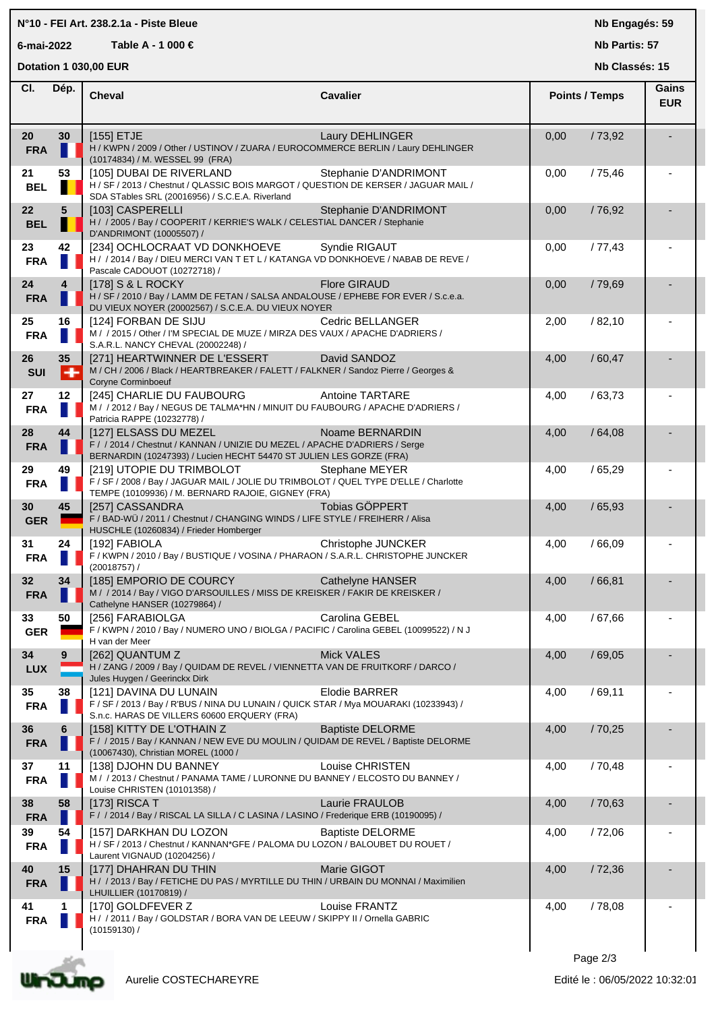## **N°10 - FEI Art. 238.2.1a - Piste Bleue**

**6-mai-2022 Table A - 1 000 €**

**Nb Engagés: 59**

**Nb Partis: 57**

|                  |                | Nb Classés: 15<br>Dotation 1 030,00 EUR                                                                                                                                     |                         |      |                       |                     |
|------------------|----------------|-----------------------------------------------------------------------------------------------------------------------------------------------------------------------------|-------------------------|------|-----------------------|---------------------|
| CI.              | Dép.           | <b>Cheval</b>                                                                                                                                                               | <b>Cavalier</b>         |      | <b>Points / Temps</b> | Gains<br><b>EUR</b> |
| 20<br><b>FRA</b> | 30             | $[155]$ ETJE<br>H / KWPN / 2009 / Other / USTINOV / ZUARA / EUROCOMMERCE BERLIN / Laury DEHLINGER<br>(10174834) / M. WESSEL 99 (FRA)                                        | Laury DEHLINGER         | 0,00 | /73,92                |                     |
| 21<br><b>BEL</b> | 53             | [105] DUBAI DE RIVERLAND<br>H / SF / 2013 / Chestnut / QLASSIC BOIS MARGOT / QUESTION DE KERSER / JAGUAR MAIL /<br>SDA STables SRL (20016956) / S.C.E.A. Riverland          | Stephanie D'ANDRIMONT   | 0,00 | /75,46                |                     |
| 22<br><b>BEL</b> | 5              | [103] CASPERELLI<br>H / / 2005 / Bay / COOPERIT / KERRIE'S WALK / CELESTIAL DANCER / Stephanie<br>D'ANDRIMONT (10005507) /                                                  | Stephanie D'ANDRIMONT   | 0,00 | /76,92                |                     |
| 23<br><b>FRA</b> | 42             | [234] OCHLOCRAAT VD DONKHOEVE<br>H / / 2014 / Bay / DIEU MERCI VAN T ET L / KATANGA VD DONKHOEVE / NABAB DE REVE /<br>Pascale CADOUOT (10272718) /                          | Syndie RIGAUT           | 0,00 | /77,43                |                     |
| 24<br><b>FRA</b> | $\overline{4}$ | [178] S & L ROCKY<br>H / SF / 2010 / Bay / LAMM DE FETAN / SALSA ANDALOUSE / EPHEBE FOR EVER / S.c.e.a.<br>DU VIEUX NOYER (20002567) / S.C.E.A. DU VIEUX NOYER              | <b>Flore GIRAUD</b>     | 0,00 | /79,69                |                     |
| 25<br><b>FRA</b> | 16             | [124] FORBAN DE SIJU<br>M / / 2015 / Other / I'M SPECIAL DE MUZE / MIRZA DES VAUX / APACHE D'ADRIERS /<br>S.A.R.L. NANCY CHEVAL (20002248) /                                | Cedric BELLANGER        | 2,00 | /82,10                |                     |
| 26<br><b>SUI</b> | 35<br>H        | [271] HEARTWINNER DE L'ESSERT<br>M / CH / 2006 / Black / HEARTBREAKER / FALETT / FALKNER / Sandoz Pierre / Georges &<br><b>Coryne Corminboeuf</b>                           | David SANDOZ            | 4,00 | /60,47                |                     |
| 27<br><b>FRA</b> | 12             | [245] CHARLIE DU FAUBOURG<br>M / /2012 / Bay / NEGUS DE TALMA*HN / MINUIT DU FAUBOURG / APACHE D'ADRIERS /<br>Patricia RAPPE (10232778) /                                   | <b>Antoine TARTARE</b>  | 4,00 | /63,73                |                     |
| 28<br><b>FRA</b> | 44             | [127] ELSASS DU MEZEL<br>F / / 2014 / Chestnut / KANNAN / UNIZIE DU MEZEL / APACHE D'ADRIERS / Serge<br>BERNARDIN (10247393) / Lucien HECHT 54470 ST JULIEN LES GORZE (FRA) | Noame BERNARDIN         | 4,00 | /64,08                |                     |
| 29<br><b>FRA</b> | 49             | [219] UTOPIE DU TRIMBOLOT<br>F / SF / 2008 / Bay / JAGUAR MAIL / JOLIE DU TRIMBOLOT / QUEL TYPE D'ELLE / Charlotte<br>TEMPE (10109936) / M. BERNARD RAJOIE, GIGNEY (FRA)    | Stephane MEYER          | 4,00 | /65,29                |                     |
| 30<br><b>GER</b> | 45             | [257] CASSANDRA<br>F / BAD-WÜ / 2011 / Chestnut / CHANGING WINDS / LIFE STYLE / FREIHERR / Alisa<br>HUSCHLE (10260834) / Frieder Homberger                                  | Tobias GÖPPERT          | 4,00 | /65,93                |                     |
| 31<br><b>FRA</b> | 24             | [192] FABIOLA<br>F / KWPN / 2010 / Bay / BUSTIQUE / VOSINA / PHARAON / S.A.R.L. CHRISTOPHE JUNCKER<br>$(20018757)$ /                                                        | Christophe JUNCKER      | 4,00 | /66,09                |                     |
| 32<br><b>FRA</b> | 34<br>н.       | [185] EMPORIO DE COURCY<br>M / / 2014 / Bay / VIGO D'ARSOUILLES / MISS DE KREISKER / FAKIR DE KREISKER /<br>Cathelyne HANSER (10279864) /                                   | Cathelyne HANSER        | 4,00 | /66,81                |                     |
| 33<br><b>GER</b> | 50             | [256] FARABIOLGA<br>F / KWPN / 2010 / Bay / NUMERO UNO / BIOLGA / PACIFIC / Carolina GEBEL (10099522) / N J<br>H van der Meer                                               | Carolina GEBEL          | 4,00 | /67,66                |                     |
| 34<br><b>LUX</b> | 9              | [262] QUANTUM Z<br>H / ZANG / 2009 / Bay / QUIDAM DE REVEL / VIENNETTA VAN DE FRUITKORF / DARCO /<br>Jules Huygen / Geerinckx Dirk                                          | <b>Mick VALES</b>       | 4,00 | /69,05                |                     |
| 35<br><b>FRA</b> | 38             | [121] DAVINA DU LUNAIN<br>F / SF / 2013 / Bay / R'BUS / NINA DU LUNAIN / QUICK STAR / Mya MOUARAKI (10233943) /<br>S.n.c. HARAS DE VILLERS 60600 ERQUERY (FRA)              | <b>Elodie BARRER</b>    | 4,00 | /69,11                |                     |
| 36<br><b>FRA</b> | 6              | [158] KITTY DE L'OTHAIN Z<br>F / / 2015 / Bay / KANNAN / NEW EVE DU MOULIN / QUIDAM DE REVEL / Baptiste DELORME<br>(10067430), Christian MOREL (1000 /                      | <b>Baptiste DELORME</b> | 4,00 | /70,25                |                     |
| 37<br><b>FRA</b> | 11             | [138] DJOHN DU BANNEY<br>M / / 2013 / Chestnut / PANAMA TAME / LURONNE DU BANNEY / ELCOSTO DU BANNEY /<br>Louise CHRISTEN (10101358) /                                      | Louise CHRISTEN         | 4,00 | /70,48                |                     |
| 38<br><b>FRA</b> | 58             | [173] RISCA T<br>F / / 2014 / Bay / RISCAL LA SILLA / C LASINA / LASINO / Frederique ERB (10190095) /                                                                       | Laurie FRAULOB          | 4,00 | /70,63                |                     |
| 39<br><b>FRA</b> | 54             | [157] DARKHAN DU LOZON<br>H / SF / 2013 / Chestnut / KANNAN*GFE / PALOMA DU LOZON / BALOUBET DU ROUET /<br>Laurent VIGNAUD (10204256) /                                     | <b>Baptiste DELORME</b> | 4,00 | /72,06                |                     |
| 40<br><b>FRA</b> | 15             | [177] DHAHRAN DU THIN<br>H / / 2013 / Bay / FETICHE DU PAS / MYRTILLE DU THIN / URBAIN DU MONNAI / Maximilien<br>LHUILLIER (10170819) /                                     | Marie GIGOT             | 4,00 | /72,36                |                     |
| 41<br><b>FRA</b> | 1              | [170] GOLDFEVER Z<br>H / / 2011 / Bay / GOLDSTAR / BORA VAN DE LEEUW / SKIPPY II / Ornella GABRIC<br>$(10159130)$ /                                                         | Louise FRANTZ           | 4,00 | /78,08                |                     |
|                  |                |                                                                                                                                                                             |                         |      | Page 2/3              |                     |